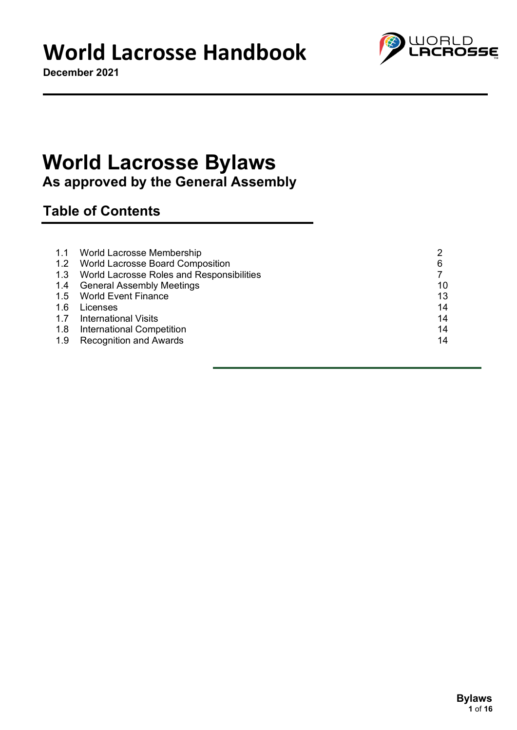**December 2021**



### **World Lacrosse Bylaws As approved by the General Assembly**

### **Table of Contents**

|     | 1.1 World Lacrosse Membership                 |    |
|-----|-----------------------------------------------|----|
|     | 1.2 World Lacrosse Board Composition          | 6  |
|     | 1.3 World Lacrosse Roles and Responsibilities |    |
|     | 1.4 General Assembly Meetings                 | 10 |
|     | 1.5 World Event Finance                       | 13 |
| 1.6 | Licenses                                      | 14 |
|     | 1.7 International Visits                      | 14 |
|     | 1.8 International Competition                 | 14 |
|     | 1.9 Recognition and Awards                    | 14 |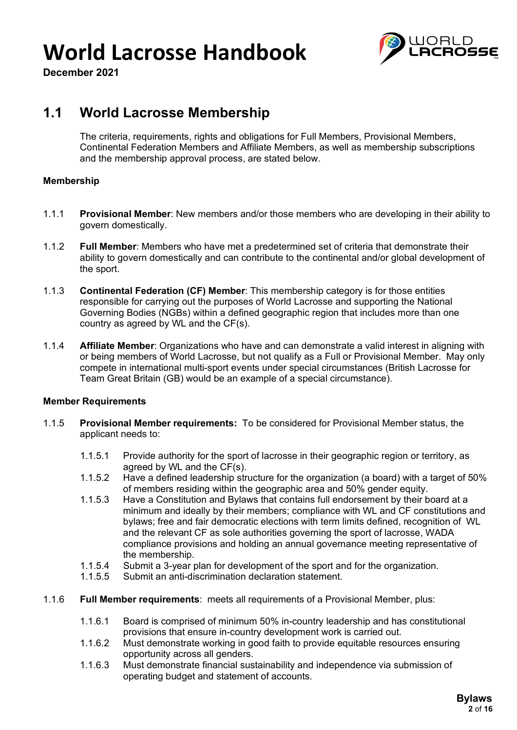

**December 2021**

### **1.1 World Lacrosse Membership**

The criteria, requirements, rights and obligations for Full Members, Provisional Members, Continental Federation Members and Affiliate Members, as well as membership subscriptions and the membership approval process, are stated below.

### **Membership**

- 1.1.1 **Provisional Member**: New members and/or those members who are developing in their ability to govern domestically.
- 1.1.2 **Full Member**: Members who have met a predetermined set of criteria that demonstrate their ability to govern domestically and can contribute to the continental and/or global development of the sport.
- 1.1.3 **Continental Federation (CF) Member**: This membership category is for those entities responsible for carrying out the purposes of World Lacrosse and supporting the National Governing Bodies (NGBs) within a defined geographic region that includes more than one country as agreed by WL and the CF(s).
- 1.1.4 **Affiliate Member**: Organizations who have and can demonstrate a valid interest in aligning with or being members of World Lacrosse, but not qualify as a Full or Provisional Member. May only compete in international multi-sport events under special circumstances (British Lacrosse for Team Great Britain (GB) would be an example of a special circumstance).

#### **Member Requirements**

- 1.1.5 **Provisional Member requirements:** To be considered for Provisional Member status, the applicant needs to:
	- 1.1.5.1 Provide authority for the sport of lacrosse in their geographic region or territory, as agreed by WL and the CF(s).
	- 1.1.5.2 Have a defined leadership structure for the organization (a board) with a target of 50% of members residing within the geographic area and 50% gender equity.
	- 1.1.5.3 Have a Constitution and Bylaws that contains full endorsement by their board at a minimum and ideally by their members; compliance with WL and CF constitutions and bylaws; free and fair democratic elections with term limits defined, recognition of WL and the relevant CF as sole authorities governing the sport of lacrosse, WADA compliance provisions and holding an annual governance meeting representative of the membership.
	- 1.1.5.4 Submit a 3-year plan for development of the sport and for the organization.
	- 1.1.5.5 Submit an anti-discrimination declaration statement.
- 1.1.6 **Full Member requirements**: meets all requirements of a Provisional Member, plus:
	- 1.1.6.1 Board is comprised of minimum 50% in-country leadership and has constitutional provisions that ensure in-country development work is carried out.
	- 1.1.6.2 Must demonstrate working in good faith to provide equitable resources ensuring opportunity across all genders.
	- 1.1.6.3 Must demonstrate financial sustainability and independence via submission of operating budget and statement of accounts.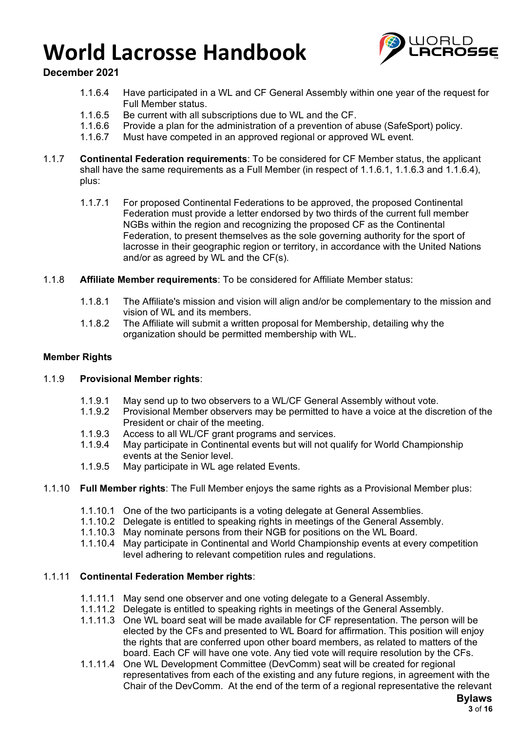

### **December 2021**

- 1.1.6.4 Have participated in a WL and CF General Assembly within one year of the request for Full Member status.
- 1.1.6.5 Be current with all subscriptions due to WL and the CF.
- 1.1.6.6 Provide a plan for the administration of a prevention of abuse (SafeSport) policy.
- 1.1.6.7 Must have competed in an approved regional or approved WL event.
- 1.1.7 **Continental Federation requirements**: To be considered for CF Member status, the applicant shall have the same requirements as a Full Member (in respect of 1.1.6.1, 1.1.6.3 and 1.1.6.4), plus:
	- 1.1.7.1 For proposed Continental Federations to be approved, the proposed Continental Federation must provide a letter endorsed by two thirds of the current full member NGBs within the region and recognizing the proposed CF as the Continental Federation, to present themselves as the sole governing authority for the sport of lacrosse in their geographic region or territory, in accordance with the United Nations and/or as agreed by WL and the CF(s).
- 1.1.8 **Affiliate Member requirements**: To be considered for Affiliate Member status:
	- 1.1.8.1 The Affiliate's mission and vision will align and/or be complementary to the mission and vision of WL and its members.
	- 1.1.8.2 The Affiliate will submit a written proposal for Membership, detailing why the organization should be permitted membership with WL.

### **Member Rights**

#### 1.1.9 **Provisional Member rights**:

- 1.1.9.1 May send up to two observers to a WL/CF General Assembly without vote.
- 1.1.9.2 Provisional Member observers may be permitted to have a voice at the discretion of the President or chair of the meeting.
- 1.1.9.3 Access to all WL/CF grant programs and services.<br>1.1.9.4 May participate in Continental events but will not qu
- May participate in Continental events but will not qualify for World Championship events at the Senior level.
- 1.1.9.5 May participate in WL age related Events.
- 1.1.10 **Full Member rights**: The Full Member enjoys the same rights as a Provisional Member plus:
	- 1.1.10.1 One of the two participants is a voting delegate at General Assemblies.
	- 1.1.10.2 Delegate is entitled to speaking rights in meetings of the General Assembly.
	- 1.1.10.3 May nominate persons from their NGB for positions on the WL Board.
	- 1.1.10.4 May participate in Continental and World Championship events at every competition level adhering to relevant competition rules and regulations.

#### 1.1.11 **Continental Federation Member rights**:

- 1.1.11.1 May send one observer and one voting delegate to a General Assembly.
- 1.1.11.2 Delegate is entitled to speaking rights in meetings of the General Assembly.
- 1.1.11.3 One WL board seat will be made available for CF representation. The person will be elected by the CFs and presented to WL Board for affirmation. This position will enjoy the rights that are conferred upon other board members, as related to matters of the board. Each CF will have one vote. Any tied vote will require resolution by the CFs.
- 1.1.11.4 One WL Development Committee (DevComm) seat will be created for regional representatives from each of the existing and any future regions, in agreement with the Chair of the DevComm. At the end of the term of a regional representative the relevant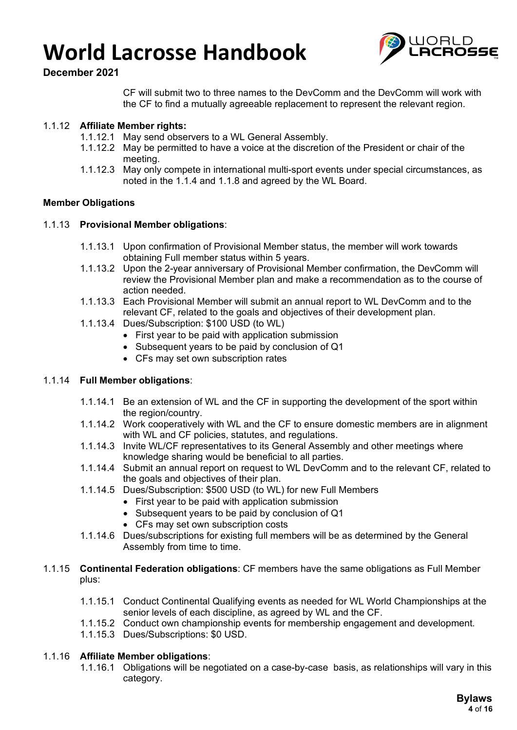

### **December 2021**

CF will submit two to three names to the DevComm and the DevComm will work with the CF to find a mutually agreeable replacement to represent the relevant region.

### 1.1.12 **Affiliate Member rights:**

- 1.1.12.1 May send observers to a WL General Assembly.
- 1.1.12.2 May be permitted to have a voice at the discretion of the President or chair of the meeting.
- 1.1.12.3 May only compete in international multi-sport events under special circumstances, as noted in the 1.1.4 and 1.1.8 and agreed by the WL Board.

### **Member Obligations**

### 1.1.13 **Provisional Member obligations**:

- 1.1.13.1 Upon confirmation of Provisional Member status, the member will work towards obtaining Full member status within 5 years.
- 1.1.13.2 Upon the 2-year anniversary of Provisional Member confirmation, the DevComm will review the Provisional Member plan and make a recommendation as to the course of action needed.
- 1.1.13.3 Each Provisional Member will submit an annual report to WL DevComm and to the relevant CF, related to the goals and objectives of their development plan.
- 1.1.13.4 Dues/Subscription: \$100 USD (to WL)
	- First year to be paid with application submission
	- Subsequent years to be paid by conclusion of Q1
	- CFs may set own subscription rates

#### 1.1.14 **Full Member obligations**:

- 1.1.14.1 Be an extension of WL and the CF in supporting the development of the sport within the region/country.
- 1.1.14.2 Work cooperatively with WL and the CF to ensure domestic members are in alignment with WL and CF policies, statutes, and regulations.
- 1.1.14.3 Invite WL/CF representatives to its General Assembly and other meetings where knowledge sharing would be beneficial to all parties.
- 1.1.14.4 Submit an annual report on request to WL DevComm and to the relevant CF, related to the goals and objectives of their plan.
- 1.1.14.5 Dues/Subscription: \$500 USD (to WL) for new Full Members
	- First year to be paid with application submission
	- Subsequent years to be paid by conclusion of Q1
	- CFs may set own subscription costs
- 1.1.14.6 Dues/subscriptions for existing full members will be as determined by the General Assembly from time to time.
- 1.1.15 **Continental Federation obligations**: CF members have the same obligations as Full Member plus:
	- 1.1.15.1 Conduct Continental Qualifying events as needed for WL World Championships at the senior levels of each discipline, as agreed by WL and the CF.
	- 1.1.15.2 Conduct own championship events for membership engagement and development.
	- 1.1.15.3 Dues/Subscriptions: \$0 USD.

#### 1.1.16 **Affiliate Member obligations**:

1.1.16.1 Obligations will be negotiated on a case-by-case basis, as relationships will vary in this category.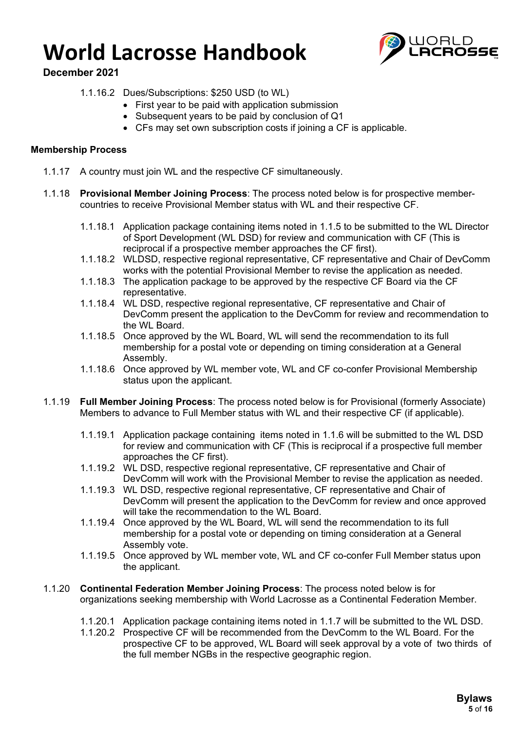

**December 2021**

- 1.1.16.2 Dues/Subscriptions: \$250 USD (to WL)
	- First year to be paid with application submission
	- Subsequent years to be paid by conclusion of Q1
	- CFs may set own subscription costs if joining a CF is applicable.

#### **Membership Process**

- 1.1.17 A country must join WL and the respective CF simultaneously.
- 1.1.18 **Provisional Member Joining Process**: The process noted below is for prospective membercountries to receive Provisional Member status with WL and their respective CF.
	- 1.1.18.1 Application package containing items noted in 1.1.5 to be submitted to the WL Director of Sport Development (WL DSD) for review and communication with CF (This is reciprocal if a prospective member approaches the CF first).
	- 1.1.18.2 WLDSD, respective regional representative, CF representative and Chair of DevComm works with the potential Provisional Member to revise the application as needed.
	- 1.1.18.3 The application package to be approved by the respective CF Board via the CF representative.
	- 1.1.18.4 WL DSD, respective regional representative, CF representative and Chair of DevComm present the application to the DevComm for review and recommendation to the WL Board.
	- 1.1.18.5 Once approved by the WL Board, WL will send the recommendation to its full membership for a postal vote or depending on timing consideration at a General Assembly.
	- 1.1.18.6 Once approved by WL member vote, WL and CF co-confer Provisional Membership status upon the applicant.
- 1.1.19 **Full Member Joining Process**: The process noted below is for Provisional (formerly Associate) Members to advance to Full Member status with WL and their respective CF (if applicable).
	- 1.1.19.1 Application package containing items noted in 1.1.6 will be submitted to the WL DSD for review and communication with CF (This is reciprocal if a prospective full member approaches the CF first).
	- 1.1.19.2 WL DSD, respective regional representative, CF representative and Chair of DevComm will work with the Provisional Member to revise the application as needed.
	- 1.1.19.3 WL DSD, respective regional representative, CF representative and Chair of DevComm will present the application to the DevComm for review and once approved will take the recommendation to the WL Board.
	- 1.1.19.4 Once approved by the WL Board, WL will send the recommendation to its full membership for a postal vote or depending on timing consideration at a General Assembly vote.
	- 1.1.19.5 Once approved by WL member vote, WL and CF co-confer Full Member status upon the applicant.
- 1.1.20 **Continental Federation Member Joining Process**: The process noted below is for organizations seeking membership with World Lacrosse as a Continental Federation Member.
	- 1.1.20.1 Application package containing items noted in 1.1.7 will be submitted to the WL DSD.
	- 1.1.20.2 Prospective CF will be recommended from the DevComm to the WL Board. For the prospective CF to be approved, WL Board will seek approval by a vote of two thirds of the full member NGBs in the respective geographic region.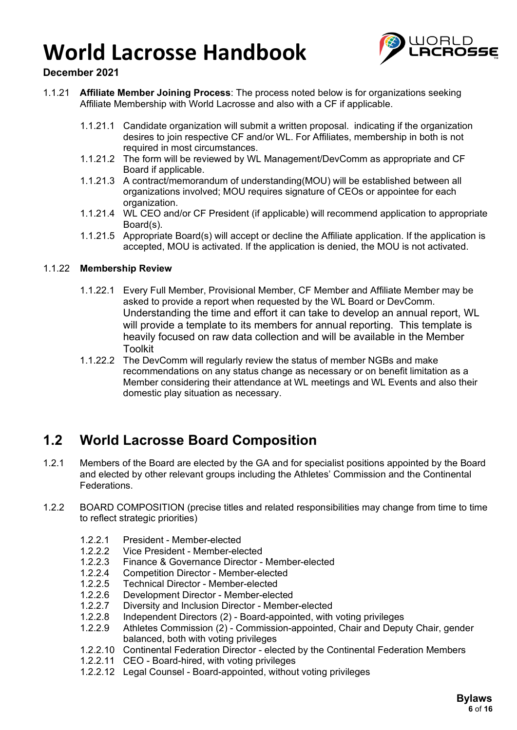

### **December 2021**

- 1.1.21 **Affiliate Member Joining Process**: The process noted below is for organizations seeking Affiliate Membership with World Lacrosse and also with a CF if applicable.
	- 1.1.21.1 Candidate organization will submit a written proposal. indicating if the organization desires to join respective CF and/or WL. For Affiliates, membership in both is not required in most circumstances.
	- 1.1.21.2 The form will be reviewed by WL Management/DevComm as appropriate and CF Board if applicable.
	- 1.1.21.3 A contract/memorandum of understanding(MOU) will be established between all organizations involved; MOU requires signature of CEOs or appointee for each organization.
	- 1.1.21.4 WL CEO and/or CF President (if applicable) will recommend application to appropriate Board(s).
	- 1.1.21.5 Appropriate Board(s) will accept or decline the Affiliate application. If the application is accepted, MOU is activated. If the application is denied, the MOU is not activated.

### 1.1.22 **Membership Review**

- 1.1.22.1 Every Full Member, Provisional Member, CF Member and Affiliate Member may be asked to provide a report when requested by the WL Board or DevComm. Understanding the time and effort it can take to develop an annual report, WL will provide a template to its members for annual reporting. This template is heavily focused on raw data collection and will be available in the Member Toolkit
- 1.1.22.2 The DevComm will regularly review the status of member NGBs and make recommendations on any status change as necessary or on benefit limitation as a Member considering their attendance at WL meetings and WL Events and also their domestic play situation as necessary.

### **1.2 World Lacrosse Board Composition**

- 1.2.1 Members of the Board are elected by the GA and for specialist positions appointed by the Board and elected by other relevant groups including the Athletes' Commission and the Continental Federations.
- 1.2.2 BOARD COMPOSITION (precise titles and related responsibilities may change from time to time to reflect strategic priorities)
	- 1.2.2.1 President Member-elected
	- 1.2.2.2 Vice President Member-elected
	- 1.2.2.3 Finance & Governance Director Member-elected
	- 1.2.2.4 Competition Director Member-elected<br>1.2.2.5 Technical Director Member-elected
	- 1.2.2.5 Technical Director Member-elected<br>1.2.2.6 Development Director Member-elec
	- Development Director Member-elected
	- 1.2.2.7 Diversity and Inclusion Director Member-elected
	- 1.2.2.8 Independent Directors (2) Board-appointed, with voting privileges
	- 1.2.2.9 Athletes Commission (2) Commission-appointed, Chair and Deputy Chair, gender balanced, both with voting privileges
	- 1.2.2.10 Continental Federation Director elected by the Continental Federation Members
	- 1.2.2.11 CEO Board-hired, with voting privileges
	- 1.2.2.12 Legal Counsel Board-appointed, without voting privileges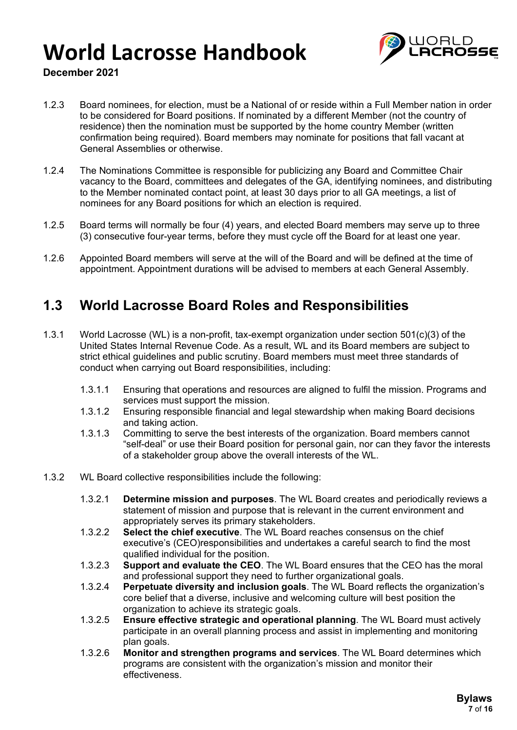

### **December 2021**

- 1.2.3 Board nominees, for election, must be a National of or reside within a Full Member nation in order to be considered for Board positions. If nominated by a different Member (not the country of residence) then the nomination must be supported by the home country Member (written confirmation being required). Board members may nominate for positions that fall vacant at General Assemblies or otherwise.
- 1.2.4 The Nominations Committee is responsible for publicizing any Board and Committee Chair vacancy to the Board, committees and delegates of the GA, identifying nominees, and distributing to the Member nominated contact point, at least 30 days prior to all GA meetings, a list of nominees for any Board positions for which an election is required.
- 1.2.5 Board terms will normally be four (4) years, and elected Board members may serve up to three (3) consecutive four-year terms, before they must cycle off the Board for at least one year.
- 1.2.6 Appointed Board members will serve at the will of the Board and will be defined at the time of appointment. Appointment durations will be advised to members at each General Assembly.

### **1.3 World Lacrosse Board Roles and Responsibilities**

- 1.3.1 World Lacrosse (WL) is a non-profit, tax-exempt organization under section 501(c)(3) of the United States Internal Revenue Code. As a result, WL and its Board members are subject to strict ethical guidelines and public scrutiny. Board members must meet three standards of conduct when carrying out Board responsibilities, including:
	- 1.3.1.1 Ensuring that operations and resources are aligned to fulfil the mission. Programs and services must support the mission.
	- 1.3.1.2 Ensuring responsible financial and legal stewardship when making Board decisions and taking action.
	- 1.3.1.3 Committing to serve the best interests of the organization. Board members cannot "self-deal" or use their Board position for personal gain, nor can they favor the interests of a stakeholder group above the overall interests of the WL.
- 1.3.2 WL Board collective responsibilities include the following:
	- 1.3.2.1 **Determine mission and purposes**. The WL Board creates and periodically reviews a statement of mission and purpose that is relevant in the current environment and appropriately serves its primary stakeholders.
	- 1.3.2.2 **Select the chief executive**. The WL Board reaches consensus on the chief executive's (CEO)responsibilities and undertakes a careful search to find the most qualified individual for the position.
	- 1.3.2.3 **Support and evaluate the CEO**. The WL Board ensures that the CEO has the moral and professional support they need to further organizational goals.
	- 1.3.2.4 **Perpetuate diversity and inclusion goals**. The WL Board reflects the organization's core belief that a diverse, inclusive and welcoming culture will best position the organization to achieve its strategic goals.
	- 1.3.2.5 **Ensure effective strategic and operational planning**. The WL Board must actively participate in an overall planning process and assist in implementing and monitoring plan goals.
	- 1.3.2.6 **Monitor and strengthen programs and services**. The WL Board determines which programs are consistent with the organization's mission and monitor their effectiveness.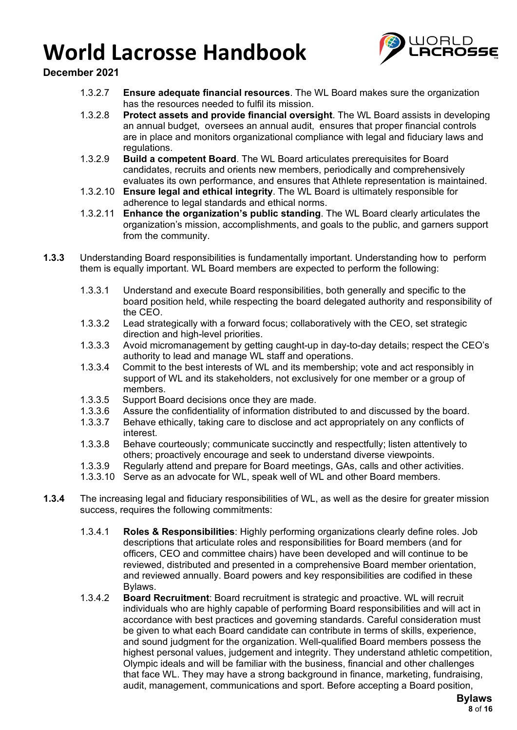

### **December 2021**

- 1.3.2.7 **Ensure adequate financial resources**. The WL Board makes sure the organization has the resources needed to fulfil its mission.
- 1.3.2.8 **Protect assets and provide financial oversight**. The WL Board assists in developing an annual budget, oversees an annual audit, ensures that proper financial controls are in place and monitors organizational compliance with legal and fiduciary laws and regulations.
- 1.3.2.9 **Build a competent Board**. The WL Board articulates prerequisites for Board candidates, recruits and orients new members, periodically and comprehensively evaluates its own performance, and ensures that Athlete representation is maintained.
- 1.3.2.10 **Ensure legal and ethical integrity**. The WL Board is ultimately responsible for adherence to legal standards and ethical norms.
- 1.3.2.11 **Enhance the organization's public standing**. The WL Board clearly articulates the organization's mission, accomplishments, and goals to the public, and garners support from the community.
- **1.3.3** Understanding Board responsibilities is fundamentally important. Understanding how to perform them is equally important. WL Board members are expected to perform the following:
	- 1.3.3.1 Understand and execute Board responsibilities, both generally and specific to the board position held, while respecting the board delegated authority and responsibility of the CEO.
	- 1.3.3.2 Lead strategically with a forward focus; collaboratively with the CEO, set strategic direction and high-level priorities.
	- 1.3.3.3 Avoid micromanagement by getting caught-up in day-to-day details; respect the CEO's authority to lead and manage WL staff and operations.
	- 1.3.3.4 Commit to the best interests of WL and its membership; vote and act responsibly in support of WL and its stakeholders, not exclusively for one member or a group of members.
	- 1.3.3.5 Support Board decisions once they are made.<br>1.3.3.6 Assure the confidentiality of information distrib
	- 1.3.3.6 Assure the confidentiality of information distributed to and discussed by the board.<br>1.3.3.7 Behave ethically, taking care to disclose and act appropriately on any conflicts of
	- Behave ethically, taking care to disclose and act appropriately on any conflicts of interest.
	- 1.3.3.8 Behave courteously; communicate succinctly and respectfully; listen attentively to others; proactively encourage and seek to understand diverse viewpoints.
	- 1.3.3.9 Regularly attend and prepare for Board meetings, GAs, calls and other activities.
	- 1.3.3.10 Serve as an advocate for WL, speak well of WL and other Board members.
- **1.3.4** The increasing legal and fiduciary responsibilities of WL, as well as the desire for greater mission success, requires the following commitments:
	- 1.3.4.1 **Roles & Responsibilities**: Highly performing organizations clearly define roles. Job descriptions that articulate roles and responsibilities for Board members (and for officers, CEO and committee chairs) have been developed and will continue to be reviewed, distributed and presented in a comprehensive Board member orientation, and reviewed annually. Board powers and key responsibilities are codified in these Bylaws.
	- 1.3.4.2 **Board Recruitment**: Board recruitment is strategic and proactive. WL will recruit individuals who are highly capable of performing Board responsibilities and will act in accordance with best practices and governing standards. Careful consideration must be given to what each Board candidate can contribute in terms of skills, experience, and sound judgment for the organization. Well-qualified Board members possess the highest personal values, judgement and integrity. They understand athletic competition, Olympic ideals and will be familiar with the business, financial and other challenges that face WL. They may have a strong background in finance, marketing, fundraising, audit, management, communications and sport. Before accepting a Board position,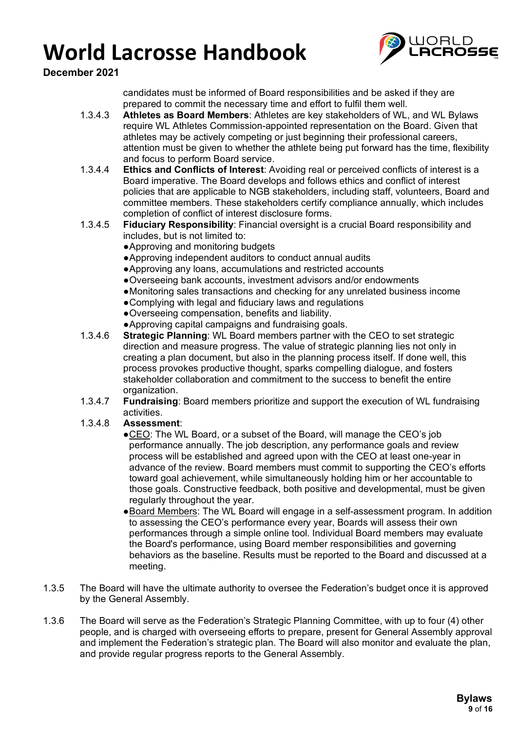

**December 2021**

candidates must be informed of Board responsibilities and be asked if they are prepared to commit the necessary time and effort to fulfil them well.

- 1.3.4.3 **Athletes as Board Members**: Athletes are key stakeholders of WL, and WL Bylaws require WL Athletes Commission-appointed representation on the Board. Given that athletes may be actively competing or just beginning their professional careers, attention must be given to whether the athlete being put forward has the time, flexibility and focus to perform Board service.
- 1.3.4.4 **Ethics and Conflicts of Interest**: Avoiding real or perceived conflicts of interest is a Board imperative. The Board develops and follows ethics and conflict of interest policies that are applicable to NGB stakeholders, including staff, volunteers, Board and committee members. These stakeholders certify compliance annually, which includes completion of conflict of interest disclosure forms.
- 1.3.4.5 **Fiduciary Responsibility**: Financial oversight is a crucial Board responsibility and includes, but is not limited to:
	- ●Approving and monitoring budgets
	- ●Approving independent auditors to conduct annual audits
	- ●Approving any loans, accumulations and restricted accounts
	- ●Overseeing bank accounts, investment advisors and/or endowments
	- ●Monitoring sales transactions and checking for any unrelated business income
	- ●Complying with legal and fiduciary laws and regulations
	- ●Overseeing compensation, benefits and liability.
	- ●Approving capital campaigns and fundraising goals.
- 1.3.4.6 **Strategic Planning**: WL Board members partner with the CEO to set strategic direction and measure progress. The value of strategic planning lies not only in creating a plan document, but also in the planning process itself. If done well, this process provokes productive thought, sparks compelling dialogue, and fosters stakeholder collaboration and commitment to the success to benefit the entire organization.
- 1.3.4.7 **Fundraising**: Board members prioritize and support the execution of WL fundraising activities.

### 1.3.4.8 **Assessment**:

- ●CEO: The WL Board, or a subset of the Board, will manage the CEO's job performance annually. The job description, any performance goals and review process will be established and agreed upon with the CEO at least one-year in advance of the review. Board members must commit to supporting the CEO's efforts toward goal achievement, while simultaneously holding him or her accountable to those goals. Constructive feedback, both positive and developmental, must be given regularly throughout the year.
- Board Members: The WL Board will engage in a self-assessment program. In addition to assessing the CEO's performance every year, Boards will assess their own performances through a simple online tool. Individual Board members may evaluate the Board's performance, using Board member responsibilities and governing behaviors as the baseline. Results must be reported to the Board and discussed at a meeting.
- 1.3.5 The Board will have the ultimate authority to oversee the Federation's budget once it is approved by the General Assembly.
- 1.3.6 The Board will serve as the Federation's Strategic Planning Committee, with up to four (4) other people, and is charged with overseeing efforts to prepare, present for General Assembly approval and implement the Federation's strategic plan. The Board will also monitor and evaluate the plan, and provide regular progress reports to the General Assembly.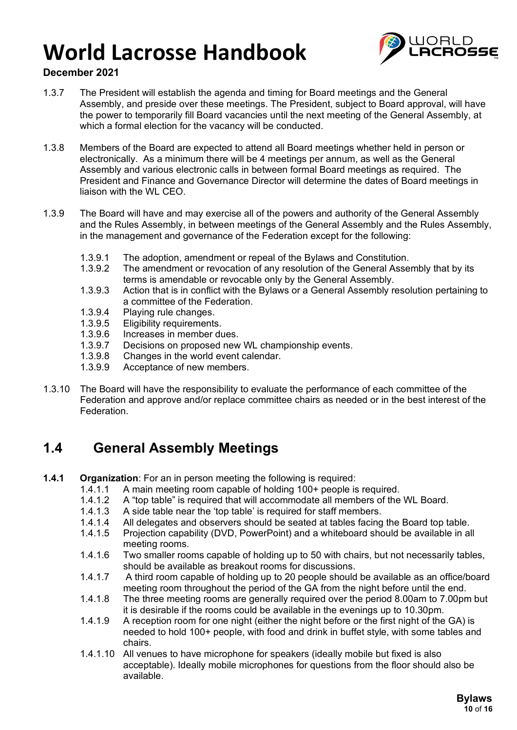

### **December 2021**

- 1.3.7 The President will establish the agenda and timing for Board meetings and the General Assembly, and preside over these meetings. The President, subject to Board approval, will have the power to temporarily fill Board vacancies until the next meeting of the General Assembly, at which a formal election for the vacancy will be conducted.
- 1.3.8 Members of the Board are expected to attend all Board meetings whether held in person or electronically. As a minimum there will be 4 meetings per annum, as well as the General Assembly and various electronic calls in between formal Board meetings as required. The President and Finance and Governance Director will determine the dates of Board meetings in liaison with the WL CEO.
- 1.3.9 The Board will have and may exercise all of the powers and authority of the General Assembly and the Rules Assembly, in between meetings of the General Assembly and the Rules Assembly, in the management and governance of the Federation except for the following:
	- 1.3.9.1 The adoption, amendment or repeal of the Bylaws and Constitution.<br>1.3.9.2 The amendment or revocation of any resolution of the General Asse
	- The amendment or revocation of any resolution of the General Assembly that by its terms is amendable or revocable only by the General Assembly.
	- 1.3.9.3 Action that is in conflict with the Bylaws or a General Assembly resolution pertaining to a committee of the Federation.
	- 1.3.9.4 Playing rule changes.
	- 1.3.9.5 Eligibility requirements.
	- 1.3.9.6 Increases in member dues.
	- 1.3.9.7 Decisions on proposed new WL championship events.<br>1.3.9.8 Changes in the world event calendar.
	- 1.3.9.8 Changes in the world event calendar.<br>1.3.9.9 Acceptance of new members
	- Acceptance of new members.
- 1.3.10 The Board will have the responsibility to evaluate the performance of each committee of the Federation and approve and/or replace committee chairs as needed or in the best interest of the Federation.

### **1.4 General Assembly Meetings**

- **1.4.1 Organization**: For an in person meeting the following is required:
	- 1.4.1.1 A main meeting room capable of holding 100+ people is required.<br>1.4.1.2 A "top table" is required that will accommodate all members of the
	- A "top table" is required that will accommodate all members of the WL Board.
	- 1.4.1.3 A side table near the 'top table' is required for staff members.<br>1.4.1.4 All delegates and observers should be seated at tables facing
	- 1.4.1.4 All delegates and observers should be seated at tables facing the Board top table.<br>1.4.1.5 Projection capability (DVD, PowerPoint) and a whiteboard should be available in al
	- Projection capability (DVD, PowerPoint) and a whiteboard should be available in all meeting rooms.
	- 1.4.1.6 Two smaller rooms capable of holding up to 50 with chairs, but not necessarily tables, should be available as breakout rooms for discussions.
	- 1.4.1.7 A third room capable of holding up to 20 people should be available as an office/board meeting room throughout the period of the GA from the night before until the end.
	- 1.4.1.8 The three meeting rooms are generally required over the period 8.00am to 7.00pm but it is desirable if the rooms could be available in the evenings up to 10.30pm.
	- 1.4.1.9 A reception room for one night (either the night before or the first night of the GA) is needed to hold 100+ people, with food and drink in buffet style, with some tables and chairs.
	- 1.4.1.10 All venues to have microphone for speakers (ideally mobile but fixed is also acceptable). Ideally mobile microphones for questions from the floor should also be available.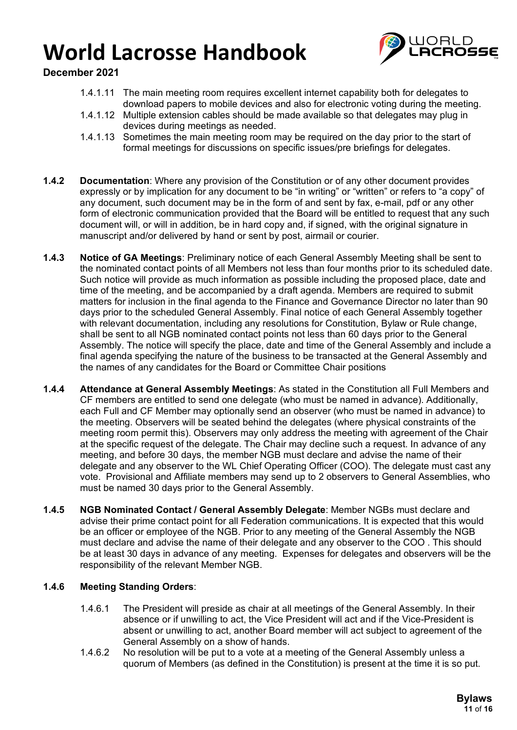

### **December 2021**

- 1.4.1.11 The main meeting room requires excellent internet capability both for delegates to download papers to mobile devices and also for electronic voting during the meeting.
- 1.4.1.12 Multiple extension cables should be made available so that delegates may plug in devices during meetings as needed.
- 1.4.1.13 Sometimes the main meeting room may be required on the day prior to the start of formal meetings for discussions on specific issues/pre briefings for delegates.
- **1.4.2 Documentation**: Where any provision of the Constitution or of any other document provides expressly or by implication for any document to be "in writing" or "written" or refers to "a copy" of any document, such document may be in the form of and sent by fax, e-mail, pdf or any other form of electronic communication provided that the Board will be entitled to request that any such document will, or will in addition, be in hard copy and, if signed, with the original signature in manuscript and/or delivered by hand or sent by post, airmail or courier.
- **1.4.3 Notice of GA Meetings**: Preliminary notice of each General Assembly Meeting shall be sent to the nominated contact points of all Members not less than four months prior to its scheduled date. Such notice will provide as much information as possible including the proposed place, date and time of the meeting, and be accompanied by a draft agenda. Members are required to submit matters for inclusion in the final agenda to the Finance and Governance Director no later than 90 days prior to the scheduled General Assembly. Final notice of each General Assembly together with relevant documentation, including any resolutions for Constitution, Bylaw or Rule change, shall be sent to all NGB nominated contact points not less than 60 days prior to the General Assembly. The notice will specify the place, date and time of the General Assembly and include a final agenda specifying the nature of the business to be transacted at the General Assembly and the names of any candidates for the Board or Committee Chair positions
- **1.4.4 Attendance at General Assembly Meetings**: As stated in the Constitution all Full Members and CF members are entitled to send one delegate (who must be named in advance). Additionally, each Full and CF Member may optionally send an observer (who must be named in advance) to the meeting. Observers will be seated behind the delegates (where physical constraints of the meeting room permit this). Observers may only address the meeting with agreement of the Chair at the specific request of the delegate. The Chair may decline such a request. In advance of any meeting, and before 30 days, the member NGB must declare and advise the name of their delegate and any observer to the WL Chief Operating Officer (COO). The delegate must cast any vote. Provisional and Affiliate members may send up to 2 observers to General Assemblies, who must be named 30 days prior to the General Assembly.
- **1.4.5 NGB Nominated Contact / General Assembly Delegate**: Member NGBs must declare and advise their prime contact point for all Federation communications. It is expected that this would be an officer or employee of the NGB. Prior to any meeting of the General Assembly the NGB must declare and advise the name of their delegate and any observer to the COO . This should be at least 30 days in advance of any meeting. Expenses for delegates and observers will be the responsibility of the relevant Member NGB.

### **1.4.6 Meeting Standing Orders**:

- 1.4.6.1 The President will preside as chair at all meetings of the General Assembly. In their absence or if unwilling to act, the Vice President will act and if the Vice-President is absent or unwilling to act, another Board member will act subject to agreement of the General Assembly on a show of hands.
- 1.4.6.2 No resolution will be put to a vote at a meeting of the General Assembly unless a quorum of Members (as defined in the Constitution) is present at the time it is so put.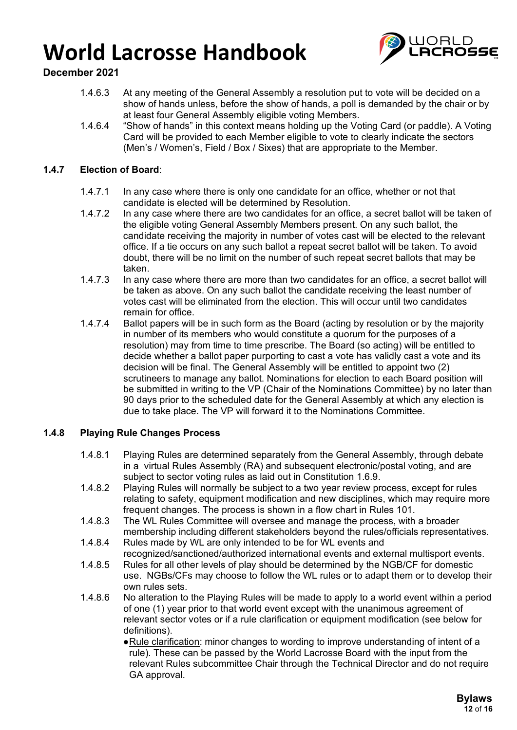

### **December 2021**

- 1.4.6.3 At any meeting of the General Assembly a resolution put to vote will be decided on a show of hands unless, before the show of hands, a poll is demanded by the chair or by at least four General Assembly eligible voting Members.
- 1.4.6.4 "Show of hands" in this context means holding up the Voting Card (or paddle). A Voting Card will be provided to each Member eligible to vote to clearly indicate the sectors (Men's / Women's, Field / Box / Sixes) that are appropriate to the Member.

### **1.4.7 Election of Board**:

- 1.4.7.1 In any case where there is only one candidate for an office, whether or not that candidate is elected will be determined by Resolution.
- 1.4.7.2 In any case where there are two candidates for an office, a secret ballot will be taken of the eligible voting General Assembly Members present. On any such ballot, the candidate receiving the majority in number of votes cast will be elected to the relevant office. If a tie occurs on any such ballot a repeat secret ballot will be taken. To avoid doubt, there will be no limit on the number of such repeat secret ballots that may be taken.
- 1.4.7.3 In any case where there are more than two candidates for an office, a secret ballot will be taken as above. On any such ballot the candidate receiving the least number of votes cast will be eliminated from the election. This will occur until two candidates remain for office.
- 1.4.7.4 Ballot papers will be in such form as the Board (acting by resolution or by the majority in number of its members who would constitute a quorum for the purposes of a resolution) may from time to time prescribe. The Board (so acting) will be entitled to decide whether a ballot paper purporting to cast a vote has validly cast a vote and its decision will be final. The General Assembly will be entitled to appoint two (2) scrutineers to manage any ballot. Nominations for election to each Board position will be submitted in writing to the VP (Chair of the Nominations Committee) by no later than 90 days prior to the scheduled date for the General Assembly at which any election is due to take place. The VP will forward it to the Nominations Committee.

### **1.4.8 Playing Rule Changes Process**

- 1.4.8.1 Playing Rules are determined separately from the General Assembly, through debate in a virtual Rules Assembly (RA) and subsequent electronic/postal voting, and are subject to sector voting rules as laid out in Constitution 1.6.9.
- 1.4.8.2 Playing Rules will normally be subject to a two year review process, except for rules relating to safety, equipment modification and new disciplines, which may require more frequent changes. The process is shown in a flow chart in Rules 101.
- 1.4.8.3 The WL Rules Committee will oversee and manage the process, with a broader membership including different stakeholders beyond the rules/officials representatives.
- 1.4.8.4 Rules made by WL are only intended to be for WL events and recognized/sanctioned/authorized international events and external multisport events.
- 1.4.8.5 Rules for all other levels of play should be determined by the NGB/CF for domestic use. NGBs/CFs may choose to follow the WL rules or to adapt them or to develop their own rules sets.
- 1.4.8.6 No alteration to the Playing Rules will be made to apply to a world event within a period of one (1) year prior to that world event except with the unanimous agreement of relevant sector votes or if a rule clarification or equipment modification (see below for definitions).
	- ●Rule clarification: minor changes to wording to improve understanding of intent of a rule). These can be passed by the World Lacrosse Board with the input from the relevant Rules subcommittee Chair through the Technical Director and do not require GA approval.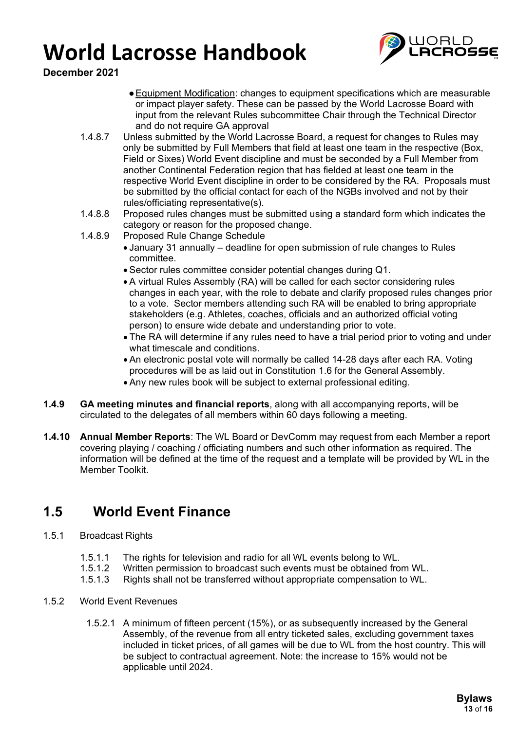

**December 2021**

- ●Equipment Modification: changes to equipment specifications which are measurable or impact player safety. These can be passed by the World Lacrosse Board with input from the relevant Rules subcommittee Chair through the Technical Director and do not require GA approval
- 1.4.8.7 Unless submitted by the World Lacrosse Board, a request for changes to Rules may only be submitted by Full Members that field at least one team in the respective (Box, Field or Sixes) World Event discipline and must be seconded by a Full Member from another Continental Federation region that has fielded at least one team in the respective World Event discipline in order to be considered by the RA. Proposals must be submitted by the official contact for each of the NGBs involved and not by their rules/officiating representative(s).
- 1.4.8.8 Proposed rules changes must be submitted using a standard form which indicates the category or reason for the proposed change.
- 1.4.8.9 Proposed Rule Change Schedule
	- January 31 annually deadline for open submission of rule changes to Rules committee.
	- Sector rules committee consider potential changes during Q1.
	- A virtual Rules Assembly (RA) will be called for each sector considering rules changes in each year, with the role to debate and clarify proposed rules changes prior to a vote. Sector members attending such RA will be enabled to bring appropriate stakeholders (e.g. Athletes, coaches, officials and an authorized official voting person) to ensure wide debate and understanding prior to vote.
	- The RA will determine if any rules need to have a trial period prior to voting and under what timescale and conditions.
	- An electronic postal vote will normally be called 14-28 days after each RA. Voting procedures will be as laid out in Constitution 1.6 for the General Assembly.
	- Any new rules book will be subject to external professional editing.
- **1.4.9 GA meeting minutes and financial reports**, along with all accompanying reports, will be circulated to the delegates of all members within 60 days following a meeting.
- **1.4.10 Annual Member Reports**: The WL Board or DevComm may request from each Member a report covering playing / coaching / officiating numbers and such other information as required. The information will be defined at the time of the request and a template will be provided by WL in the Member Toolkit.

### **1.5 World Event Finance**

- 1.5.1 Broadcast Rights
	- 1.5.1.1 The rights for television and radio for all WL events belong to WL.<br>1.5.1.2 Written permission to broadcast such events must be obtained fro
	- 1.5.1.2 Written permission to broadcast such events must be obtained from WL.<br>1.5.1.3 Rights shall not be transferred without appropriate compensation to WL.
	- Rights shall not be transferred without appropriate compensation to WL.
- 1.5.2 World Event Revenues
	- 1.5.2.1 A minimum of fifteen percent (15%), or as subsequently increased by the General Assembly, of the revenue from all entry ticketed sales, excluding government taxes included in ticket prices, of all games will be due to WL from the host country. This will be subject to contractual agreement. Note: the increase to 15% would not be applicable until 2024.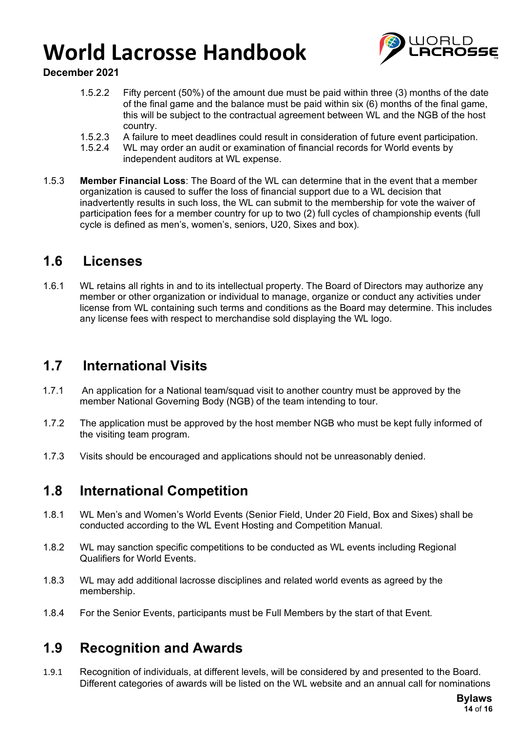

### **December 2021**

- 1.5.2.2 Fifty percent (50%) of the amount due must be paid within three (3) months of the date of the final game and the balance must be paid within six (6) months of the final game, this will be subject to the contractual agreement between WL and the NGB of the host country.
- 1.5.2.3 A failure to meet deadlines could result in consideration of future event participation.<br>1.5.2.4 WL may order an audit or examination of financial records for World events by
- WL may order an audit or examination of financial records for World events by independent auditors at WL expense.
- 1.5.3 **Member Financial Loss**: The Board of the WL can determine that in the event that a member organization is caused to suffer the loss of financial support due to a WL decision that inadvertently results in such loss, the WL can submit to the membership for vote the waiver of participation fees for a member country for up to two (2) full cycles of championship events (full cycle is defined as men's, women's, seniors, U20, Sixes and box).

### **1.6 Licenses**

1.6.1 WL retains all rights in and to its intellectual property. The Board of Directors may authorize any member or other organization or individual to manage, organize or conduct any activities under license from WL containing such terms and conditions as the Board may determine. This includes any license fees with respect to merchandise sold displaying the WL logo.

### **1.7 International Visits**

- 1.7.1 An application for a National team/squad visit to another country must be approved by the member National Governing Body (NGB) of the team intending to tour.
- 1.7.2 The application must be approved by the host member NGB who must be kept fully informed of the visiting team program.
- 1.7.3 Visits should be encouraged and applications should not be unreasonably denied.

### **1.8 International Competition**

- 1.8.1 WL Men's and Women's World Events (Senior Field, Under 20 Field, Box and Sixes) shall be conducted according to the WL Event Hosting and Competition Manual.
- 1.8.2 WL may sanction specific competitions to be conducted as WL events including Regional Qualifiers for World Events.
- 1.8.3 WL may add additional lacrosse disciplines and related world events as agreed by the membership.
- 1.8.4 For the Senior Events, participants must be Full Members by the start of that Event.

### **1.9 Recognition and Awards**

1.9.1 Recognition of individuals, at different levels, will be considered by and presented to the Board. Different categories of awards will be listed on the WL website and an annual call for nominations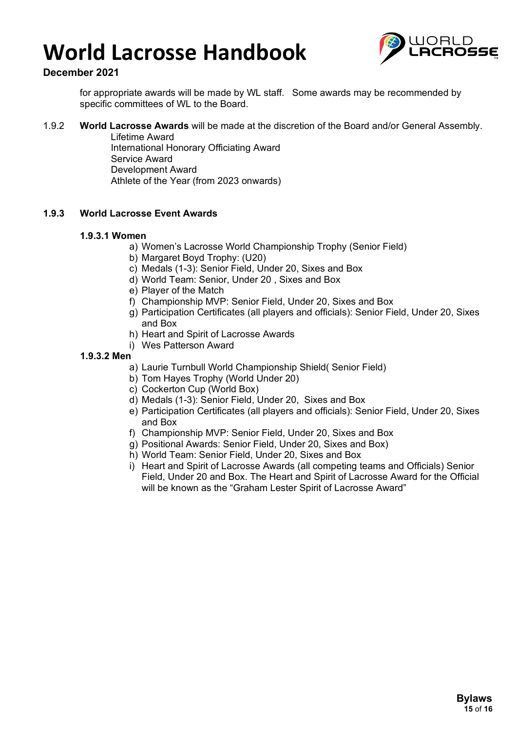

### **December 2021**

for appropriate awards will be made by WL staff. Some awards may be recommended by specific committees of WL to the Board.

#### 1.9.2 **World Lacrosse Awards** will be made at the discretion of the Board and/or General Assembly.

Lifetime Award International Honorary Officiating Award Service Award Development Award Athlete of the Year (from 2023 onwards)

### **1.9.3 World Lacrosse Event Awards**

#### **1.9.3.1 Women**

- a) Women's Lacrosse World Championship Trophy (Senior Field)
- b) Margaret Boyd Trophy: (U20)
- c) Medals (1-3): Senior Field, Under 20, Sixes and Box
- d) World Team: Senior, Under 20 , Sixes and Box
- e) Player of the Match
- f) Championship MVP: Senior Field, Under 20, Sixes and Box
- g) Participation Certificates (all players and officials): Senior Field, Under 20, Sixes and Box
- h) Heart and Spirit of Lacrosse Awards
- i) Wes Patterson Award

#### **1.9.3.2 Men**

- a) Laurie Turnbull World Championship Shield( Senior Field)
- b) Tom Hayes Trophy (World Under 20)
- c) Cockerton Cup (World Box)
- d) Medals (1-3): Senior Field, Under 20, Sixes and Box
- e) Participation Certificates (all players and officials): Senior Field, Under 20, Sixes and Box
- f) Championship MVP: Senior Field, Under 20, Sixes and Box
- g) Positional Awards: Senior Field, Under 20, Sixes and Box)
- h) World Team: Senior Field, Under 20, Sixes and Box
- i) Heart and Spirit of Lacrosse Awards (all competing teams and Officials) Senior Field, Under 20 and Box. The Heart and Spirit of Lacrosse Award for the Official will be known as the "Graham Lester Spirit of Lacrosse Award"